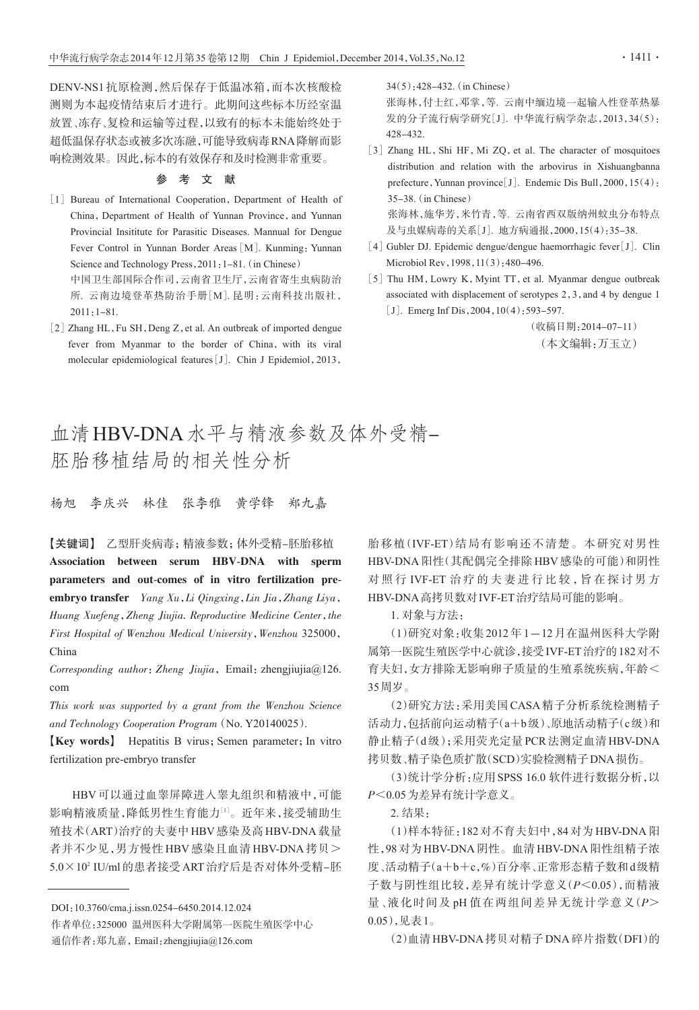DENV-NS1抗原检测,然后保存于低温冰箱,而本次核酸检 测则为本起疫情结束后才进行。此期间这些标本历经室温 放置、冻存、复检和运输等过程,以致有的标本未能始终处于 超低温保存状态或被多次冻融,可能导致病毒RNA降解而影 响检测效果。因此,标本的有效保存和及时检测非常重要。

## 参 考 文 献

- [1] Bureau of International Cooperation, Department of Health of China, Department of Health of Yunnan Province, and Yunnan Provincial Insititute for Parasitic Diseases. Mannual for Dengue Fever Control in Yunnan Border Areas [M]. Kunming: Yunnan Science and Technology Press, 2011: 1-81. (in Chinese) 中国卫生部国际合作司,云南省卫生厅,云南省寄生虫病防治 所. 云南边境登革热防治手册[M]. 昆明:云南科技出版社, 2011:1-81.
- [2] Zhang HL, Fu SH, Deng Z, et al. An outbreak of imported dengue fever from Myanmar to the border of China, with its viral molecular epidemiological features[J]. Chin J Epidemiol,2013,

34(5):428-432.(in Chinese)

张海林,付士红,邓掌,等. 云南中缅边境一起输入性登革热暴 发的分子流行病学研究[J]. 中华流行病学杂志,2013,34(5): 428-432.

- [3] Zhang HL, Shi HF, Mi ZQ, et al. The character of mosquitoes distribution and relation with the arbovirus in Xishuangbanna prefecture, Yunnan province<sup>[J]</sup>. Endemic Dis Bull, 2000, 15(4): 35-38.(in Chinese) 张海林,施华芳,米竹青,等. 云南省西双版纳州蚊虫分布特点 及与虫媒病毒的关系[J]. 地方病通报,2000,15(4):35-38.
- [4] Gubler DJ. Epidemic dengue/dengue haemorrhagic fever[J]. Clin Microbiol Rev,1998,11(3):480-496.
- [5] Thu HM, Lowry K, Myint TT, et al. Myanmar dengue outbreak associated with displacement of serotypes 2,3,and 4 by dengue 1 [J]. Emerg Inf Dis,  $2004$ ,  $10(4)$ : 593-597.

(收稿日期:2014-07-11) (本文编辑:万玉立)

## 血清HBV-DNA水平与精液参数及体外受精-胚胎移植结局的相关性分析

杨旭 李庆兴 林佳 张李雅 黄学锋 郑九嘉

【关键词】 乙型肝炎病毒;精液参数;体外受精-胚胎移植 Association between serum HBV-DNA with sperm parameters and out-comes of in vitro fertilization preembryo transfer Yang Xu,Li Qingxing,Lin Jia,Zhang Liya, Huang Xuefeng, Zheng Jiujia. Reproductive Medicine Center, the First Hospital of Wenzhou Medical University, Wenzhou 325000, China

Corresponding author: Zheng Jiujia, Email: zhengjiujia@126. com

This work was supported by a grant from the Wenzhou Science and Technology Cooperation Program(No. Y20140025).

**[Key words]** Hepatitis B virus; Semen parameter; In vitro fertilization pre-embryo transfer

HBV 可以通过血睾屏障进入睾丸组织和精液中,可能 影响精液质量,降低男性生育能力 $^{\text{\tiny{[1]}}}$ 。近年来,接受辅助生 殖技术(ART)治疗的夫妻中HBV感染及高HBV-DNA载量 者并不少见,男方慢性 HBV 感染且血清 HBV-DNA 拷贝>  $5.0 \times 10^2$  IU/ml 的患者接受 ART 治疗后是否对体外受精-胚 胎移植(IVF-ET)结局有影响还不清楚。本研究对男性 HBV-DNA阳性(其配偶完全排除HBV感染的可能)和阴性 对照行 IVF-ET 治疗的夫妻进行比较,旨在探讨男方 HBV-DNA高拷贝数对IVF-ET治疗结局可能的影响。

1. 对象与方法:

(1)研究对象:收集2012年1-12月在温州医科大学附 属第一医院生殖医学中心就诊,接受IVF-ET治疗的182对不 育夫妇,女方排除无影响卵子质量的生殖系统疾病,年龄< 35周岁。

(2)研究方法:采用美国CASA精子分析系统检测精子 活动力,包括前向运动精子(a+b级)、原地活动精子(c级)和 静止精子(d级);采用荧光定量PCR法测定血清HBV-DNA 拷贝数、精子染色质扩散(SCD)实验检测精子DNA损伤。

(3)统计学分析:应用SPSS 16.0 软件进行数据分析,以 P<0.05为差异有统计学意义。

2. 结果:

(1)样本特征:182对不育夫妇中,84对为HBV-DNA阳 性,98对为HBV-DNA阴性。血清HBV-DNA阳性组精子浓 度、活动精子(a+b+c,%)百分率、正常形态精子数和d级精 子数与阴性组比较,差异有统计学意义(P<0.05),而精液 量、液化时间及 pH 值在两组间差异无统计学意义(P> 0.05),见表1。

(2)血清HBV-DNA拷贝对精子DNA碎片指数(DFI)的

DOI:10.3760/cma.j.issn.0254-6450.2014.12.024

作者单位:325000 温州医科大学附属第一医院生殖医学中心 通信作者:郑九嘉,Email:zhengjiujia@126.com